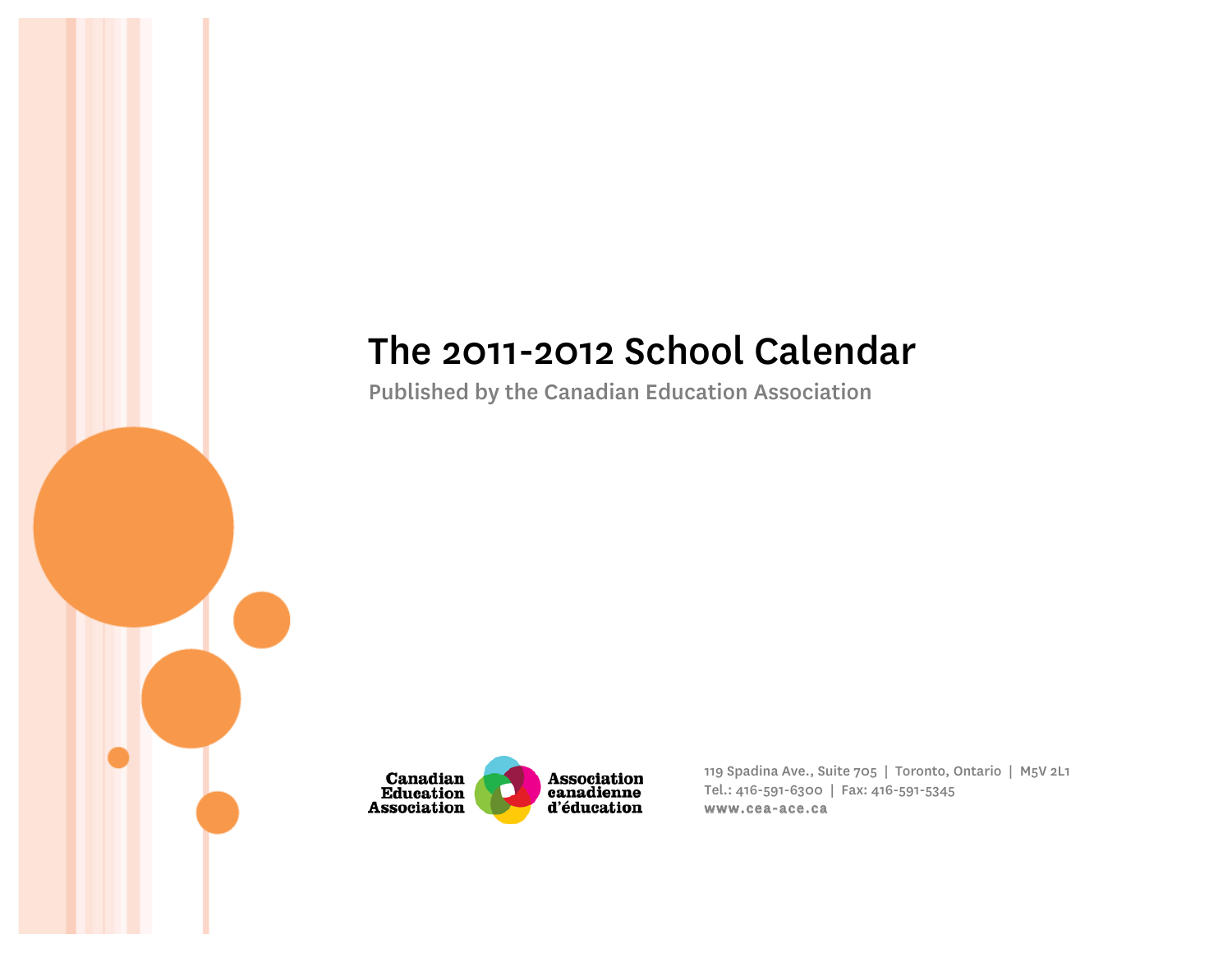# The 2011-2012 School Calendar

Published by the Canadian Education Association



119 Spadina Ave., Suite 705 | Toronto, Ontario | M5V 2L1 Tel.: 416-591-6300 | Fax: 416-591-5345 www.cea-ace.ca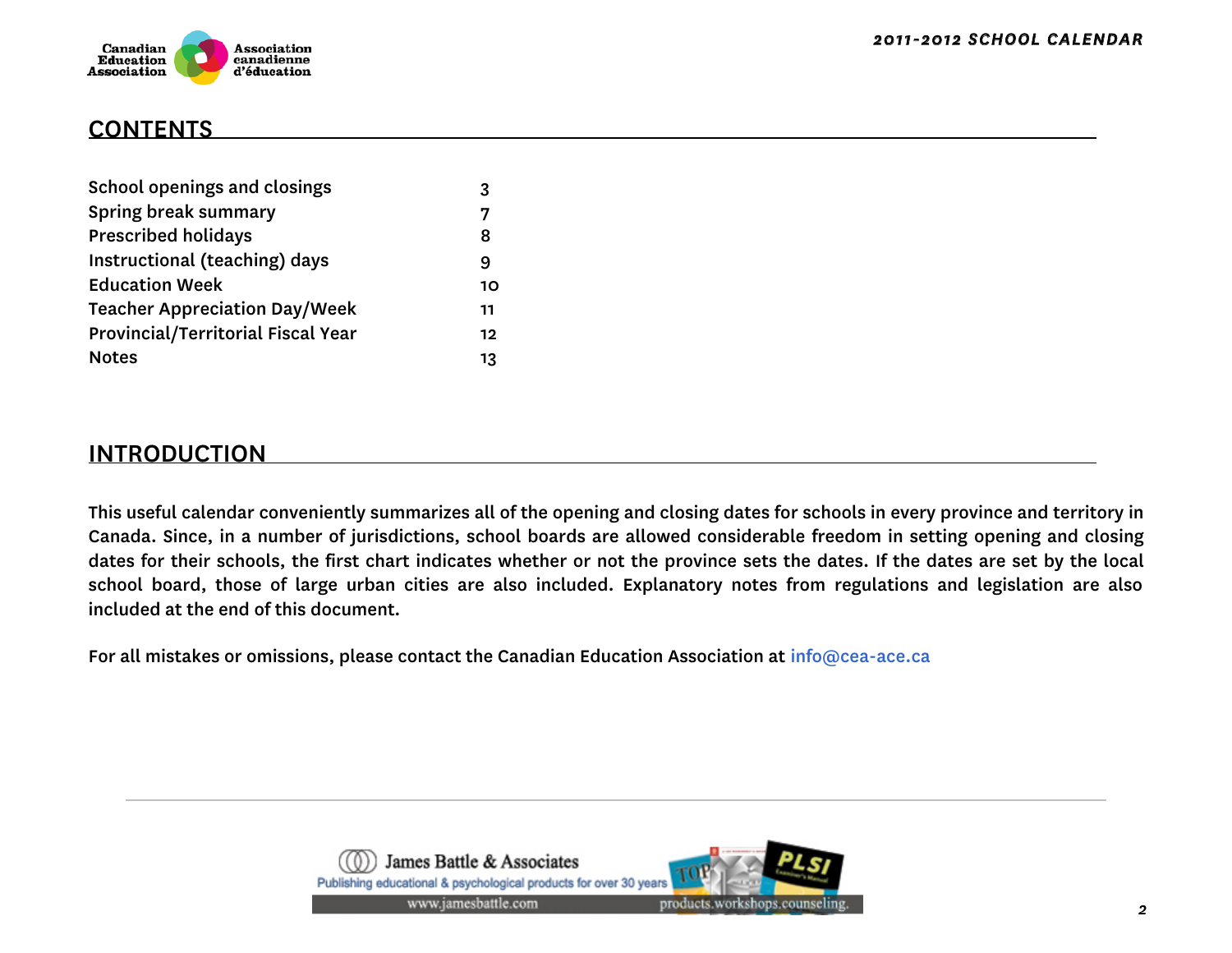

### CONTENTS

| School openings and closings              | 3  |
|-------------------------------------------|----|
| Spring break summary                      |    |
| <b>Prescribed holidays</b>                | 8  |
| Instructional (teaching) days             | 9  |
| <b>Education Week</b>                     | 10 |
| <b>Teacher Appreciation Day/Week</b>      | 11 |
| <b>Provincial/Territorial Fiscal Year</b> | 12 |
| <b>Notes</b>                              | 13 |

### INTRODUCTION

This useful calendar conveniently summarizes all of the opening and closing dates for schools in every province and territory in Canada. Since, in a number of jurisdictions, school boards are allowed considerable freedom in setting opening and closing dates for their schools, the first chart indicates whether or not the province sets the dates. If the dates are set by the local school board, those of large urban cities are also included. Explanatory notes from regulations and legislation are also included at the end of this document.

For all mistakes or omissions, please contact the Canadian Education Association at info@cea-ace.ca

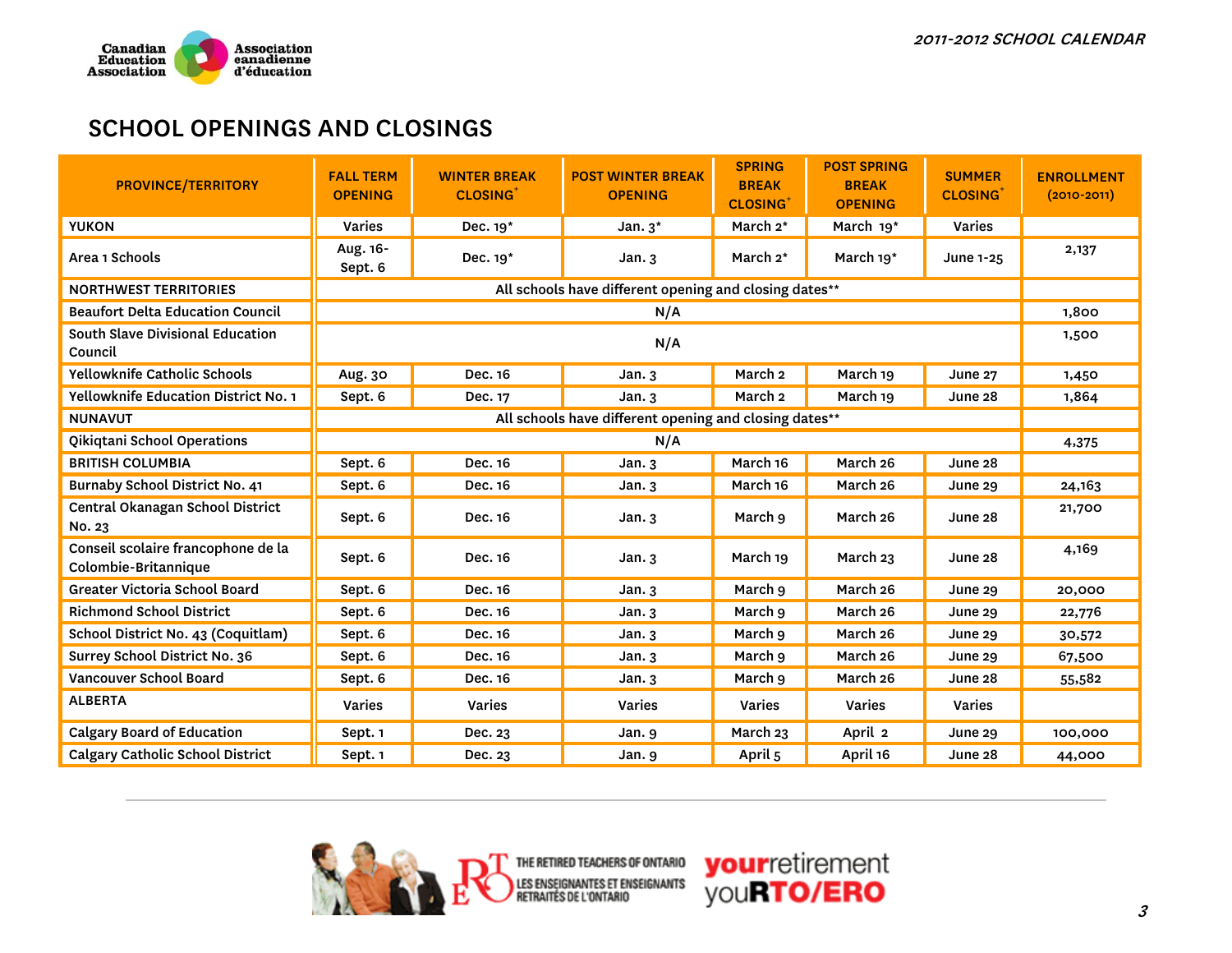

### SCHOOL OPENINGS AND CLOSINGS

| <b>PROVINCE/TERRITORY</b>                                  | <b>FALL TERM</b><br><b>OPENING</b> | <b>WINTER BREAK</b><br><b>CLOSING</b> <sup>+</sup>     | <b>POST WINTER BREAK</b><br><b>OPENING</b>             | <b>SPRING</b><br><b>BREAK</b><br><b>CLOSING</b> <sup>+</sup> | <b>POST SPRING</b><br><b>BREAK</b><br><b>OPENING</b> | <b>SUMMER</b><br><b>CLOSING</b> | <b>ENROLLMENT</b><br>$(2010 - 2011)$ |  |  |  |
|------------------------------------------------------------|------------------------------------|--------------------------------------------------------|--------------------------------------------------------|--------------------------------------------------------------|------------------------------------------------------|---------------------------------|--------------------------------------|--|--|--|
| <b>YUKON</b>                                               | <b>Varies</b>                      | Dec. 19*                                               | Jan. $3^*$                                             | March 2*                                                     | March 19 <sup>*</sup>                                | Varies                          |                                      |  |  |  |
| Area 1 Schools                                             | Aug. 16-<br>Sept. 6                | Dec. 19*                                               | Jan.3                                                  | March 2*                                                     | March 19*                                            | June 1-25                       | 2,137                                |  |  |  |
| <b>NORTHWEST TERRITORIES</b>                               |                                    |                                                        | All schools have different opening and closing dates** |                                                              |                                                      |                                 |                                      |  |  |  |
| <b>Beaufort Delta Education Council</b>                    |                                    |                                                        | N/A                                                    |                                                              |                                                      |                                 | 1,800                                |  |  |  |
| South Slave Divisional Education<br>Council                |                                    |                                                        | N/A                                                    |                                                              |                                                      |                                 | 1,500                                |  |  |  |
| <b>Yellowknife Catholic Schools</b>                        | Aug. 30                            | Dec. 16                                                | Jan.3                                                  | March <sub>2</sub>                                           | March 19                                             | <b>June 27</b>                  | 1,450                                |  |  |  |
| <b>Yellowknife Education District No. 1</b>                | Sept. 6                            | Dec. 17                                                | Jan.3                                                  | March <sub>2</sub>                                           | March 19                                             | June 28                         | 1,864                                |  |  |  |
| <b>NUNAVUT</b>                                             |                                    | All schools have different opening and closing dates** |                                                        |                                                              |                                                      |                                 |                                      |  |  |  |
| Qikiqtani School Operations                                | N/A                                |                                                        |                                                        |                                                              |                                                      |                                 |                                      |  |  |  |
| <b>BRITISH COLUMBIA</b>                                    | Sept. 6                            | Dec. 16                                                | Jan.3                                                  | March 16                                                     | March 26                                             | June 28                         |                                      |  |  |  |
| Burnaby School District No. 41                             | Sept. 6                            | Dec. 16                                                | Jan.3                                                  | March 16                                                     | March 26                                             | June 29                         | 24,163                               |  |  |  |
| Central Okanagan School District<br>No. 23                 | Sept. 6                            | Dec. 16                                                | Jan.3                                                  | March 9                                                      | March 26                                             | June 28                         | 21,700                               |  |  |  |
| Conseil scolaire francophone de la<br>Colombie-Britannique | Sept. 6                            | Dec. 16                                                | Jan.3                                                  | March 19                                                     | March 23                                             | June 28                         | 4,169                                |  |  |  |
| Greater Victoria School Board                              | Sept. 6                            | Dec. 16                                                | Jan.3                                                  | March 9                                                      | March 26                                             | <b>June 29</b>                  | 20,000                               |  |  |  |
| <b>Richmond School District</b>                            | Sept. 6                            | Dec. 16                                                | Jan.3                                                  | March 9                                                      | March 26                                             | June 29                         | 22,776                               |  |  |  |
| School District No. 43 (Coquitlam)                         | Sept. 6                            | Dec. 16                                                | Jan.3                                                  | March 9                                                      | March 26                                             | <b>June 29</b>                  | 30,572                               |  |  |  |
| Surrey School District No. 36                              | Sept. 6                            | Dec. 16                                                | Jan.3                                                  | March 9                                                      | March 26                                             | June 29                         | 67,500                               |  |  |  |
| Vancouver School Board                                     | Sept. 6                            | Dec. 16                                                | Jan.3                                                  | March 9                                                      | March 26                                             | June 28                         | 55,582                               |  |  |  |
| <b>ALBERTA</b>                                             | Varies                             | Varies                                                 | Varies                                                 | <b>Varies</b>                                                | Varies                                               | Varies                          |                                      |  |  |  |
| <b>Calgary Board of Education</b>                          | Sept. 1                            | Dec. 23                                                | Jan. 9                                                 | March 23                                                     | April 2                                              | June 29                         | 100,000                              |  |  |  |
| <b>Calgary Catholic School District</b>                    | Sept. 1                            | Dec. 23                                                | Jan. 9                                                 | April 5                                                      | April 16                                             | June 28                         | 44,000                               |  |  |  |



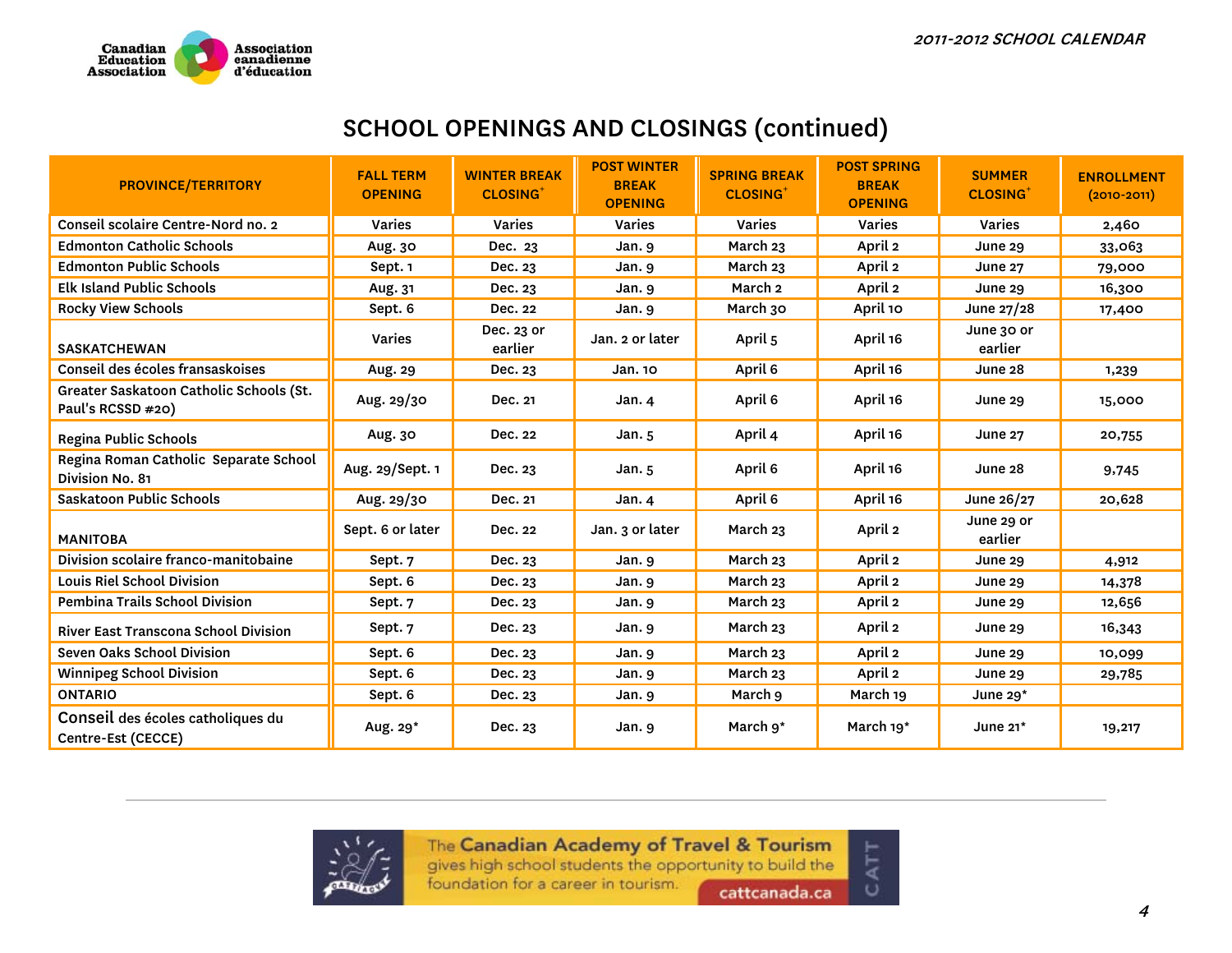

### SCHOOL OPENINGS AND CLOSINGS (continued)

| <b>PROVINCE/TERRITORY</b>                                    | <b>FALL TERM</b><br><b>OPENING</b> | <b>WINTER BREAK</b><br><b>CLOSING</b> | <b>POST WINTER</b><br><b>BREAK</b><br><b>OPENING</b> | <b>SPRING BREAK</b><br><b>CLOSING</b> | <b>POST SPRING</b><br><b>BREAK</b><br><b>OPENING</b> | <b>SUMMER</b><br><b>CLOSING</b> | <b>ENROLLMENT</b><br>$(2010 - 2011)$ |
|--------------------------------------------------------------|------------------------------------|---------------------------------------|------------------------------------------------------|---------------------------------------|------------------------------------------------------|---------------------------------|--------------------------------------|
| Conseil scolaire Centre-Nord no. 2                           | <b>Varies</b>                      | <b>Varies</b>                         | <b>Varies</b>                                        | <b>Varies</b>                         | <b>Varies</b>                                        | <b>Varies</b>                   | 2,460                                |
| <b>Edmonton Catholic Schools</b>                             | Aug. 30                            | Dec. 23                               | Jan. 9                                               | March 23                              | April 2                                              | June 29                         | 33,063                               |
| <b>Edmonton Public Schools</b>                               | Sept. 1                            | Dec. 23                               | Jan. 9                                               | March 23                              | April 2                                              | <b>June 27</b>                  | 79,000                               |
| <b>Elk Island Public Schools</b>                             | Aug. 31                            | Dec. 23                               | Jan.9                                                | March 2                               | April 2                                              | <b>June 29</b>                  | 16,300                               |
| <b>Rocky View Schools</b>                                    | Sept. 6                            | Dec. 22                               | Jan. 9                                               | March 30                              | April 10                                             | June 27/28                      | 17,400                               |
| <b>SASKATCHEWAN</b>                                          | <b>Varies</b>                      | Dec. 23 or<br>earlier                 | Jan. 2 or later                                      | April 5                               | April 16                                             | June 30 or<br>earlier           |                                      |
| Conseil des écoles fransaskoises                             | Aug. 29                            | Dec. 23                               | Jan. 10                                              | April 6                               | April 16                                             | June 28                         | 1,239                                |
| Greater Saskatoon Catholic Schools (St.<br>Paul's RCSSD #20) | Aug. 29/30                         | Dec. 21                               | Jan. 4                                               | April 6                               | April 16                                             | <b>June 29</b>                  | 15,000                               |
| Regina Public Schools                                        | Aug. 30                            | Dec. 22                               | Jan. $5$                                             | April 4                               | April 16                                             | June 27                         | 20,755                               |
| Regina Roman Catholic Separate School<br>Division No. 81     | Aug. 29/Sept. 1                    | Dec. 23                               | Jan. $5$                                             | April 6                               | April 16                                             | June 28                         | 9,745                                |
| Saskatoon Public Schools                                     | Aug. 29/30                         | Dec. 21                               | Jan. 4                                               | April 6                               | April 16                                             | June 26/27                      | 20,628                               |
| <b>MANITOBA</b>                                              | Sept. 6 or later                   | Dec. 22                               | Jan. 3 or later                                      | March 23                              | April 2                                              | June 29 or<br>earlier           |                                      |
| Division scolaire franco-manitobaine                         | Sept. 7                            | Dec. 23                               | Jan. 9                                               | March 23                              | April 2                                              | <b>June 29</b>                  | 4,912                                |
| <b>Louis Riel School Division</b>                            | Sept. 6                            | Dec. 23                               | Jan. 9                                               | March 23                              | April 2                                              | June 29                         | 14,378                               |
| <b>Pembina Trails School Division</b>                        | Sept. 7                            | Dec. 23                               | Jan. 9                                               | March 23                              | April 2                                              | <b>June 29</b>                  | 12,656                               |
| River East Transcona School Division                         | Sept. 7                            | Dec. 23                               | Jan. 9                                               | March 23                              | April 2                                              | June 29                         | 16,343                               |
| Seven Oaks School Division                                   | Sept. 6                            | Dec. 23                               | Jan. 9                                               | March 23                              | April 2                                              | <b>June 29</b>                  | 10,099                               |
| <b>Winnipeg School Division</b>                              | Sept. 6                            | Dec. 23                               | Jan. 9                                               | March 23                              | April 2                                              | <b>June 29</b>                  | 29,785                               |
| <b>ONTARIO</b>                                               | Sept. 6                            | Dec. 23                               | Jan. 9                                               | March 9                               | March 19                                             | June $29*$                      |                                      |
| Conseil des écoles catholiques du<br>Centre-Est (CECCE)      | Aug. 29*                           | Dec. 23                               | Jan. 9                                               | March 9*                              | March 19 <sup>*</sup>                                | June $21*$                      | 19,217                               |



The Canadian Academy of Travel & Tourism

gives high school students the opportunity to build the

foundation for a career in tourism.

cattcanada.ca

CATT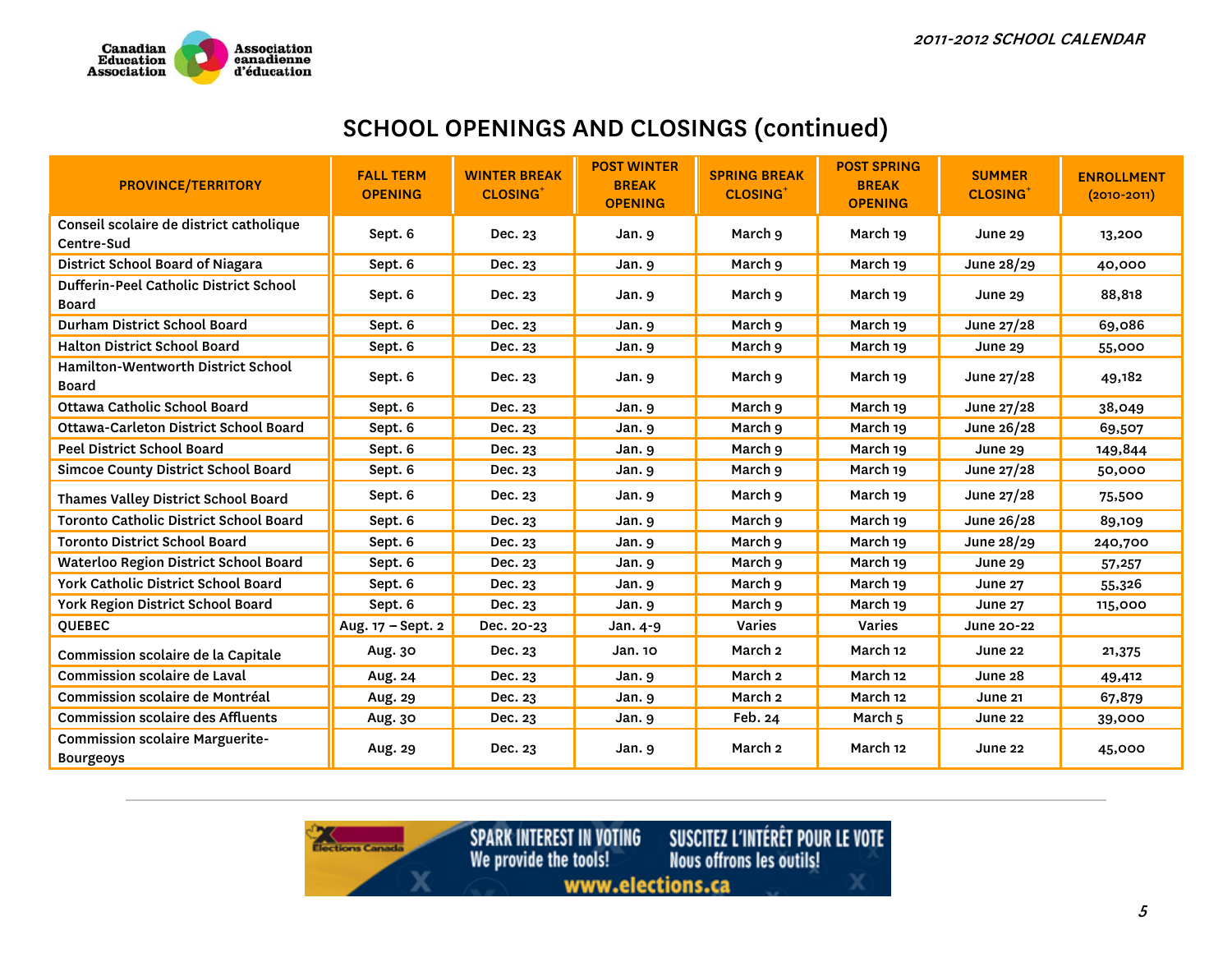

# SCHOOL OPENINGS AND CLOSINGS (continued)

| <b>PROVINCE/TERRITORY</b>                                  | <b>FALL TERM</b><br><b>OPENING</b> | <b>WINTER BREAK</b><br><b>CLOSING</b> | <b>POST WINTER</b><br><b>BREAK</b><br><b>OPENING</b> | <b>SPRING BREAK</b><br><b>CLOSING</b> | <b>POST SPRING</b><br><b>BREAK</b><br><b>OPENING</b> | <b>SUMMER</b><br><b>CLOSING</b> | <b>ENROLLMENT</b><br>$(2010 - 2011)$ |
|------------------------------------------------------------|------------------------------------|---------------------------------------|------------------------------------------------------|---------------------------------------|------------------------------------------------------|---------------------------------|--------------------------------------|
| Conseil scolaire de district catholique<br>Centre-Sud      | Sept. 6                            | Dec. 23                               | Jan. 9                                               | March 9                               | March 19                                             | June 29                         | 13,200                               |
| District School Board of Niagara                           | Sept. 6                            | Dec. 23                               | Jan. 9                                               | March 9                               | March 19                                             | June 28/29                      | 40,000                               |
| Dufferin-Peel Catholic District School<br>Board            | Sept. 6                            | Dec. 23                               | Jan. 9                                               | March 9                               | March 19                                             | <b>June 29</b>                  | 88,818                               |
| Durham District School Board                               | Sept. 6                            | Dec. 23                               | Jan. 9                                               | March 9                               | March 19                                             | June 27/28                      | 69,086                               |
| <b>Halton District School Board</b>                        | Sept. 6                            | Dec. 23                               | Jan. 9                                               | March 9                               | March 19                                             | June 29                         | 55,000                               |
| Hamilton-Wentworth District School<br>Board                | Sept. 6                            | Dec. 23                               | Jan. 9                                               | March 9                               | March 19                                             | June $27/28$                    | 49,182                               |
| Ottawa Catholic School Board                               | Sept. 6                            | Dec. 23                               | Jan. 9                                               | March 9                               | March 19                                             | June 27/28                      | 38,049                               |
| <b>Ottawa-Carleton District School Board</b>               | Sept. 6                            | Dec. 23                               | Jan. 9                                               | March 9                               | March 19                                             | June 26/28                      | 69,507                               |
| <b>Peel District School Board</b>                          | Sept. 6                            | Dec. 23                               | Jan.9                                                | March 9                               | March 19                                             | <b>June 29</b>                  | 149,844                              |
| <b>Simcoe County District School Board</b>                 | Sept. 6                            | Dec. 23                               | Jan. 9                                               | March 9                               | March 19                                             | June 27/28                      | 50,000                               |
| Thames Valley District School Board                        | Sept. 6                            | Dec. 23                               | Jan. 9                                               | March 9                               | March 19                                             | June 27/28                      | 75,500                               |
| Toronto Catholic District School Board                     | Sept. 6                            | Dec. 23                               | Jan. 9                                               | March 9                               | March 19                                             | June 26/28                      | 89,109                               |
| <b>Toronto District School Board</b>                       | Sept. 6                            | Dec. 23                               | Jan. 9                                               | March 9                               | March 19                                             | June 28/29                      | 240,700                              |
| <b>Waterloo Region District School Board</b>               | Sept. 6                            | Dec. 23                               | Jan. 9                                               | March 9                               | March 19                                             | <b>June 29</b>                  | 57,257                               |
| York Catholic District School Board                        | Sept. 6                            | Dec. 23                               | Jan. 9                                               | March 9                               | March 19                                             | <b>June 27</b>                  | 55,326                               |
| York Region District School Board                          | Sept. 6                            | Dec. 23                               | Jan. 9                                               | March 9                               | March 19                                             | <b>June 27</b>                  | 115,000                              |
| <b>QUEBEC</b>                                              | Aug. 17 - Sept. 2                  | Dec. 20-23                            | Jan. 4-9                                             | Varies                                | Varies                                               | June 20-22                      |                                      |
| Commission scolaire de la Capitale                         | Aug. 30                            | Dec. 23                               | Jan. 10                                              | March <sub>2</sub>                    | March 12                                             | June 22                         | 21,375                               |
| <b>Commission scolaire de Laval</b>                        | Aug. 24                            | Dec. 23                               | Jan. 9                                               | March <sub>2</sub>                    | March 12                                             | June 28                         | 49,412                               |
| Commission scolaire de Montréal                            | Aug. 29                            | Dec. 23                               | Jan. 9                                               | March 2                               | March 12                                             | <b>June 21</b>                  | 67,879                               |
| <b>Commission scolaire des Affluents</b>                   | Aug. 30                            | Dec. 23                               | Jan. 9                                               | Feb. 24                               | March 5                                              | June 22                         | 39,000                               |
| <b>Commission scolaire Marguerite-</b><br><b>Bourgeoys</b> | Aug. 29                            | Dec. 23                               | Jan. 9                                               | March 2                               | March 12                                             | June 22                         | 45,000                               |

*Contractions Canada* 

**SPARK INTEREST IN VOTING**<br>We provide the tools! SUSCITEZ L'INTÉRÊT POUR LE VOTE<br>Nous offrons les outils! www.elections.ca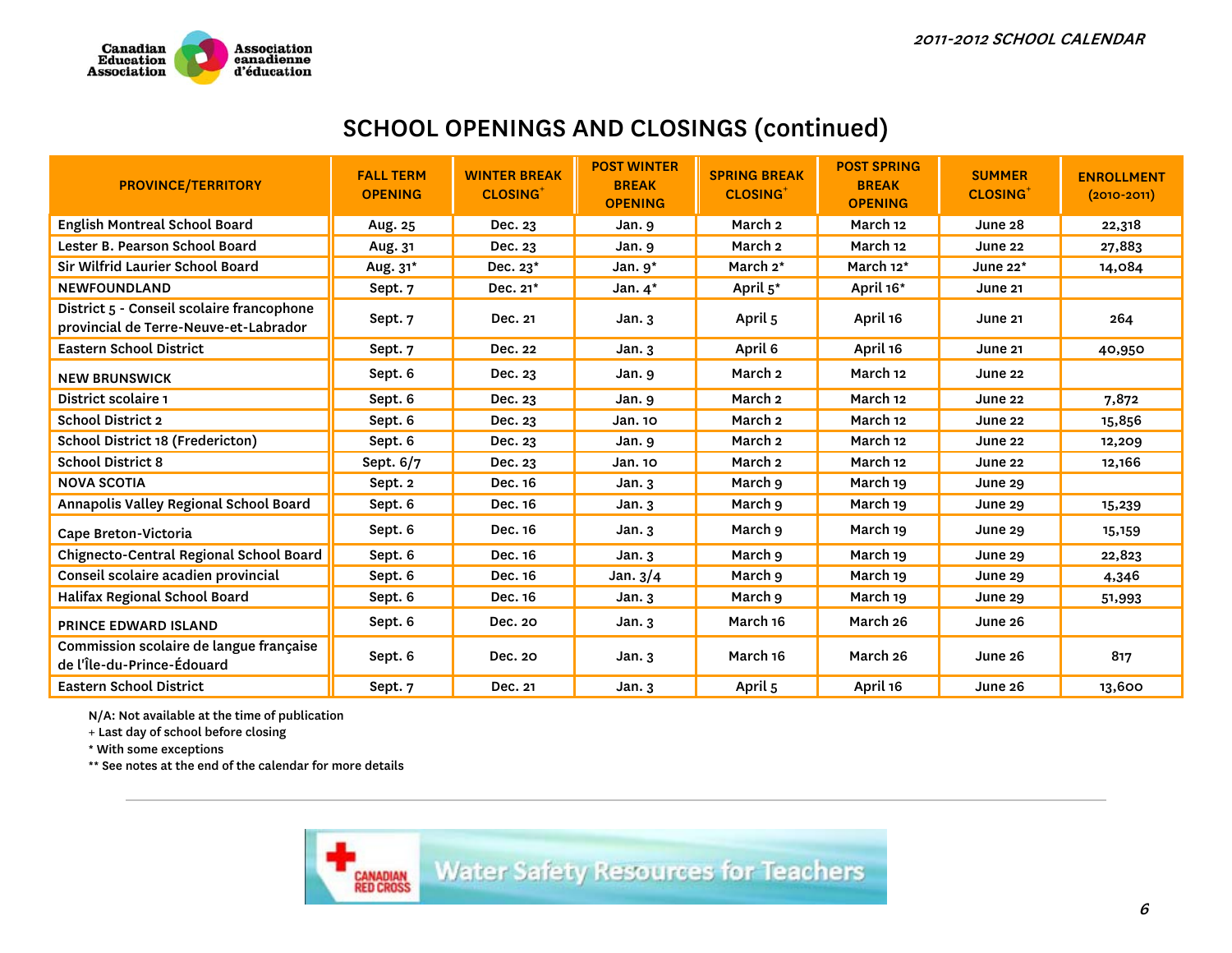

### SCHOOL OPENINGS AND CLOSINGS (continued)

| <b>PROVINCE/TERRITORY</b>                                                          | <b>FALL TERM</b><br><b>OPENING</b> | <b>WINTER BREAK</b><br><b>CLOSING</b> | <b>POST WINTER</b><br><b>BREAK</b><br><b>OPENING</b> | <b>SPRING BREAK</b><br><b>CLOSING</b> | <b>POST SPRING</b><br><b>BREAK</b><br><b>OPENING</b> | <b>SUMMER</b><br><b>CLOSING</b> | <b>ENROLLMENT</b><br>$(2010 - 2011)$ |
|------------------------------------------------------------------------------------|------------------------------------|---------------------------------------|------------------------------------------------------|---------------------------------------|------------------------------------------------------|---------------------------------|--------------------------------------|
| <b>English Montreal School Board</b>                                               | Aug. 25                            | Dec. 23                               | Jan. 9                                               | March <sub>2</sub>                    | March 12                                             | June 28                         | 22,318                               |
| Lester B. Pearson School Board                                                     | Aug. 31                            | Dec. 23                               | Jan. 9                                               | March <sub>2</sub>                    | March 12                                             | June 22                         | 27,883                               |
| Sir Wilfrid Laurier School Board                                                   | Aug. 31*                           | Dec. 23*                              | Jan. $9^*$                                           | March 2*                              | March 12*                                            | June $22^*$                     | 14,084                               |
| <b>NEWFOUNDLAND</b>                                                                | Sept. 7                            | Dec. 21*                              | Jan. $4^*$                                           | April 5*                              | April 16*                                            | <b>June 21</b>                  |                                      |
| District 5 - Conseil scolaire francophone<br>provincial de Terre-Neuve-et-Labrador | Sept. 7                            | Dec. 21                               | Jan.3                                                | April 5                               | April 16                                             | June 21                         | 264                                  |
| <b>Eastern School District</b>                                                     | Sept. 7                            | Dec. 22                               | Jan.3                                                | April 6                               | April 16                                             | June 21                         | 40,950                               |
| <b>NEW BRUNSWICK</b>                                                               | Sept. 6                            | Dec. 23                               | Jan. 9                                               | March <sub>2</sub>                    | March 12                                             | June 22                         |                                      |
| District scolaire 1                                                                | Sept. 6                            | Dec. 23                               | Jan. 9                                               | March <sub>2</sub>                    | March 12                                             | June 22                         | 7,872                                |
| <b>School District 2</b>                                                           | Sept. 6                            | Dec. 23                               | Jan. 10                                              | March <sub>2</sub>                    | March 12                                             | <b>June 22</b>                  | 15,856                               |
| School District 18 (Fredericton)                                                   | Sept. 6                            | Dec. 23                               | Jan. 9                                               | March <sub>2</sub>                    | March 12                                             | June 22                         | 12,209                               |
| <b>School District 8</b>                                                           | Sept. 6/7                          | Dec. 23                               | Jan. 10                                              | March <sub>2</sub>                    | March 12                                             | June 22                         | 12,166                               |
| <b>NOVA SCOTIA</b>                                                                 | Sept. 2                            | Dec. 16                               | Jan.3                                                | March 9                               | March 19                                             | June 29                         |                                      |
| Annapolis Valley Regional School Board                                             | Sept. 6                            | Dec. 16                               | Jan.3                                                | March 9                               | March 19                                             | June 29                         | 15,239                               |
| Cape Breton-Victoria                                                               | Sept. 6                            | Dec. 16                               | Jan.3                                                | March 9                               | March 19                                             | June 29                         | 15,159                               |
| Chignecto-Central Regional School Board                                            | Sept. 6                            | Dec. 16                               | Jan.3                                                | March 9                               | March 19                                             | June 29                         | 22,823                               |
| Conseil scolaire acadien provincial                                                | Sept. 6                            | Dec. 16                               | Jan. $3/4$                                           | March 9                               | March 19                                             | June 29                         | 4,346                                |
| Halifax Regional School Board                                                      | Sept. 6                            | Dec. 16                               | Jan.3                                                | March 9                               | March 19                                             | June 29                         | 51,993                               |
| <b>PRINCE EDWARD ISLAND</b>                                                        | Sept. 6                            | Dec. 20                               | Jan.3                                                | March 16                              | March 26                                             | June 26                         |                                      |
| Commission scolaire de langue française<br>de l'Île-du-Prince-Édouard              | Sept. 6                            | Dec. 20                               | Jan.3                                                | March 16                              | March 26                                             | June 26                         | 817                                  |
| <b>Eastern School District</b>                                                     | Sept. 7                            | Dec. 21                               | Jan.3                                                | April 5                               | April 16                                             | June 26                         | 13,600                               |

N/A: Not available at the time of publication

+ Last day of school before closing

\* With some exceptions

\*\* See notes at the end of the calendar for more details

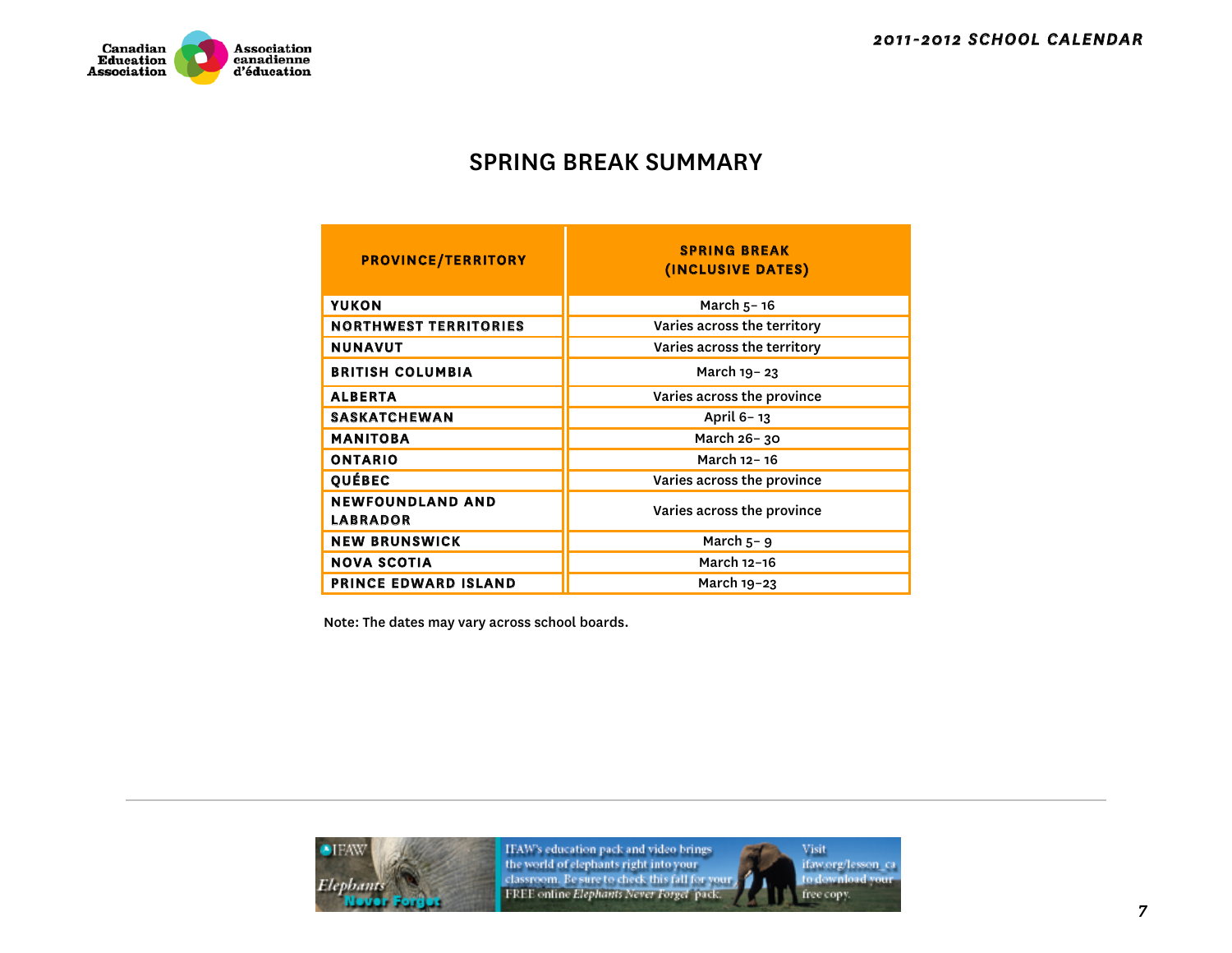

### SPRING BREAK SUMMARY

| <b>PROVINCE/TERRITORY</b>                  | <b>SPRING BREAK</b><br>(INCLUSIVE DATES) |  |  |  |
|--------------------------------------------|------------------------------------------|--|--|--|
| <b>YUKON</b>                               | March $5 - 16$                           |  |  |  |
| <b>NORTHWEST TERRITORIES</b>               | Varies across the territory              |  |  |  |
| <b>NUNAVUT</b>                             | Varies across the territory              |  |  |  |
| <b>BRITISH COLUMBIA</b>                    | March 19-23                              |  |  |  |
| <b>ALBERTA</b>                             | Varies across the province               |  |  |  |
| <b>SASKATCHEWAN</b>                        | April 6-13                               |  |  |  |
| <b>MANITOBA</b>                            | March 26-30                              |  |  |  |
| <b>ONTARIO</b>                             | March 12-16                              |  |  |  |
| <b>QUÉBEC</b>                              | Varies across the province               |  |  |  |
| <b>NEWFOUNDLAND AND</b><br><b>LABRADOR</b> | Varies across the province               |  |  |  |
| <b>NEW BRUNSWICK</b>                       | March $5 - 9$                            |  |  |  |
| <b>NOVA SCOTIA</b>                         | March 12-16                              |  |  |  |
| <b>PRINCE EDWARD ISLAND</b>                | March 19-23                              |  |  |  |

Note: The dates may vary across school boards.



IFAW's education pack and video brings<br>the world of elephants right into your<br>classroom. Be sure to check this fall for your<br>FREE online *Elephants Never Forget* pack.

Visit ifaw.org/lesson\_ca<br>to download your free copy.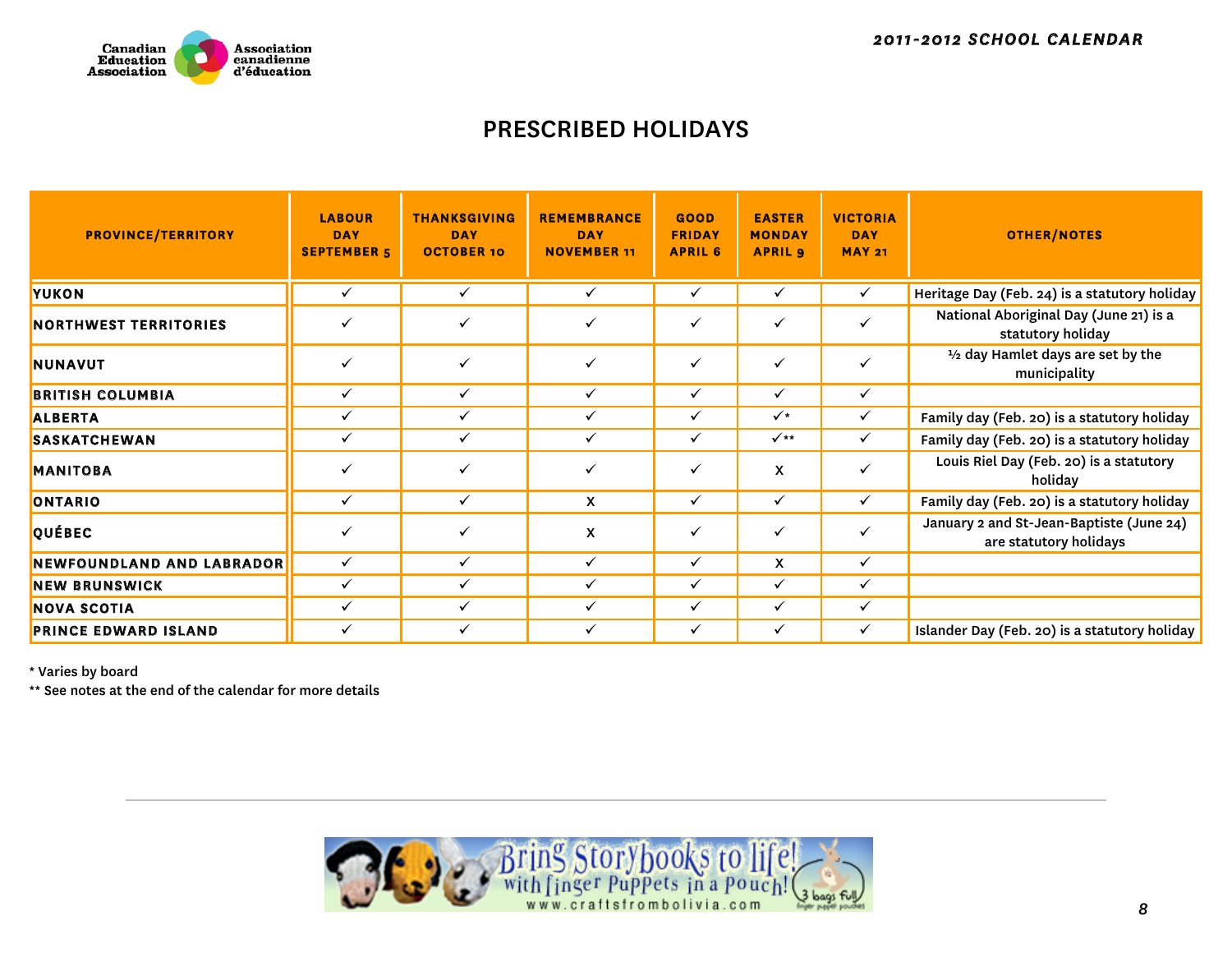

### PRESCRIBED HOLIDAYS

| <b>PROVINCE/TERRITORY</b>    | <b>LABOUR</b><br><b>DAY</b><br><b>SEPTEMBER 5</b> | <b>THANKSGIVING</b><br><b>DAY</b><br><b>OCTOBER 10</b> | <b>REMEMBRANCE</b><br><b>DAY</b><br><b>NOVEMBER 11</b> | GOOD<br><b>FRIDAY</b><br><b>APRIL 6</b> | <b>EASTER</b><br><b>MONDAY</b><br><b>APRIL 9</b> | <b>VICTORIA</b><br><b>DAY</b><br><b>MAY 21</b> | <b>OTHER/NOTES</b>                                                 |
|------------------------------|---------------------------------------------------|--------------------------------------------------------|--------------------------------------------------------|-----------------------------------------|--------------------------------------------------|------------------------------------------------|--------------------------------------------------------------------|
| YUKON                        | ✓                                                 | $\checkmark$                                           | ✓                                                      | ✓                                       | ✓                                                | $\checkmark$                                   | Heritage Day (Feb. 24) is a statutory holiday                      |
| <b>NORTHWEST TERRITORIES</b> | $\checkmark$                                      | ✓                                                      | ✓                                                      | ✓                                       | ✓                                                | $\checkmark$                                   | National Aboriginal Day (June 21) is a<br>statutory holiday        |
| <b>NUNAVUT</b>               | $\checkmark$                                      | ✓                                                      | ✓                                                      | $\checkmark$                            | ✓                                                | $\checkmark$                                   | 1/2 day Hamlet days are set by the<br>municipality                 |
| <b>BRITISH COLUMBIA</b>      | ✓                                                 | $\checkmark$                                           | ✓                                                      | ✓                                       | ✓                                                | $\checkmark$                                   |                                                                    |
| <b>ALBERTA</b>               | ✓                                                 | ✓                                                      | ✓                                                      | $\checkmark$                            | $\checkmark$                                     | $\checkmark$                                   | Family day (Feb. 20) is a statutory holiday                        |
| <b>SASKATCHEWAN</b>          | ✓                                                 | ✓                                                      | ✓                                                      | ✓                                       | $\checkmark$                                     | $\checkmark$                                   | Family day (Feb. 20) is a statutory holiday                        |
| <b>MANITOBA</b>              | $\checkmark$                                      | $\checkmark$                                           | ✓                                                      | $\checkmark$                            | X                                                | $\checkmark$                                   | Louis Riel Day (Feb. 20) is a statutory<br>holiday                 |
| ONTARIO                      | $\checkmark$                                      | $\checkmark$                                           | X                                                      | ✓                                       | ✓                                                | $\checkmark$                                   | Family day (Feb. 20) is a statutory holiday                        |
| <b>QUÉBEC</b>                | $\checkmark$                                      | ✓                                                      | X                                                      | $\checkmark$                            | $\checkmark$                                     | $\checkmark$                                   | January 2 and St-Jean-Baptiste (June 24)<br>are statutory holidays |
| NEWFOUNDLAND AND LABRADOR    | $\checkmark$                                      | $\checkmark$                                           | ✓                                                      | ✓                                       | X                                                | $\checkmark$                                   |                                                                    |
| <b>NEW BRUNSWICK</b>         | ✓                                                 | ✓                                                      | ✓                                                      | ✓                                       | ✓                                                | $\checkmark$                                   |                                                                    |
| <b>NOVA SCOTIA</b>           | ✓                                                 | ✓                                                      | ✓                                                      | ✓                                       | ✓                                                | ✓                                              |                                                                    |
| <b>PRINCE EDWARD ISLAND</b>  | ✓                                                 | ✓                                                      |                                                        | ✓                                       | ✓                                                | $\checkmark$                                   | Islander Day (Feb. 20) is a statutory holiday                      |

\* Varies by board

\*\* See notes at the end of the calendar for more details

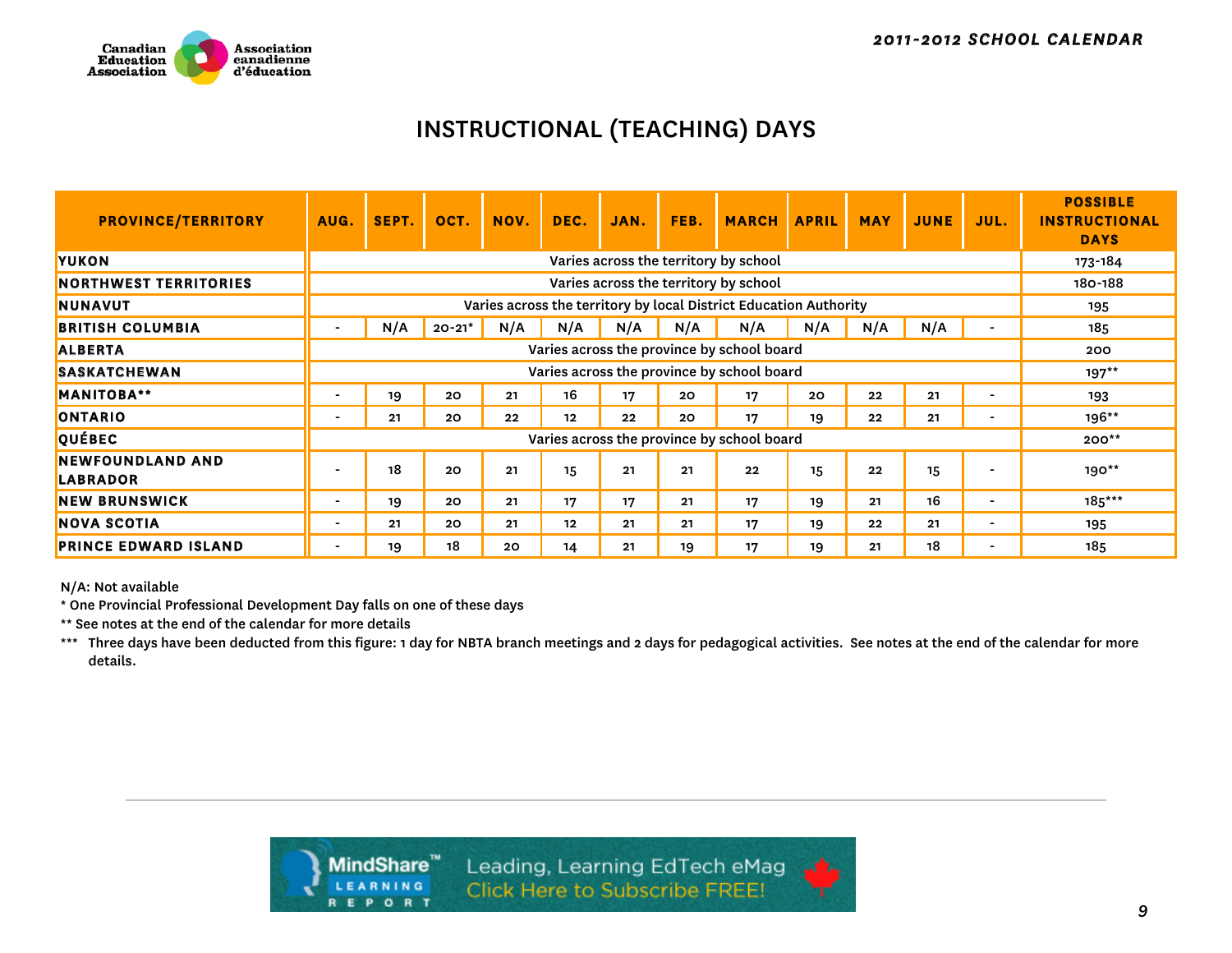

### INSTRUCTIONAL (TEACHING) DAYS

| <b>PROVINCE/TERRITORY</b>           | AUG.                     | SEPT. | OCT.   | NOV. | DEC. | JAN. | FEB. | <b>MARCH</b>                                                      | <b>APRIL</b> | <b>MAY</b> | <b>JUNE</b> | JUL.      | <b>POSSIBLE</b><br><b>INSTRUCTIONAL</b><br><b>DAYS</b> |
|-------------------------------------|--------------------------|-------|--------|------|------|------|------|-------------------------------------------------------------------|--------------|------------|-------------|-----------|--------------------------------------------------------|
| <b>YUKON</b>                        |                          |       |        |      |      |      |      | Varies across the territory by school                             |              |            |             |           | 173-184                                                |
| <b>NORTHWEST TERRITORIES</b>        |                          |       |        |      |      |      |      | Varies across the territory by school                             |              |            |             |           | 180-188                                                |
| <b>NUNAVUT</b>                      |                          |       |        |      |      |      |      | Varies across the territory by local District Education Authority |              |            |             |           | 195                                                    |
| <b>BRITISH COLUMBIA</b>             |                          | N/A   | 20-21* | N/A  | N/A  | N/A  | N/A  | N/A                                                               | N/A          | N/A        | N/A         |           | 185                                                    |
| <b>ALBERTA</b>                      |                          |       |        |      |      |      |      | Varies across the province by school board                        |              |            |             |           | 200                                                    |
| <b>SASKATCHEWAN</b>                 |                          |       |        |      |      |      |      | Varies across the province by school board                        |              |            |             |           | $197**$                                                |
| <b>MANITOBA**</b>                   |                          | 19    | 20     | 21   | 16   | 17   | 20   | 17                                                                | 20           | 22         | 21          |           | 193                                                    |
| <b>ONTARIO</b>                      |                          | 21    | 20     | 22   | 12   | 22   | 20   | 17                                                                | 19           | 22         | 21          |           | $196**$                                                |
| QUÉBEC                              |                          |       |        |      |      |      |      | Varies across the province by school board                        |              |            |             |           | $200**$                                                |
| <b>NEWFOUNDLAND AND</b><br>LABRADOR |                          | 18    | 20     | 21   | 15   | 21   | 21   | 22                                                                | 15           | 22         | 15          |           | $190**$                                                |
| <b>NEW BRUNSWICK</b>                | $\overline{\phantom{0}}$ | 19    | 20     | 21   | 17   | 17   | 21   | 17                                                                | 19           | 21         | 16          |           | 185***                                                 |
| <b>NOVA SCOTIA</b>                  | $\overline{\phantom{0}}$ | 21    | 20     | 21   | 12   | 21   | 21   | 17                                                                | 19           | $22 \,$    | 21          | $\,$ $\,$ | 195                                                    |
| <b>PRINCE EDWARD ISLAND</b>         |                          | 19    | 18     | 20   | 14   | 21   | 19   | 17                                                                | 19           | 21         | 18          |           | 185                                                    |

N/A: Not available

\* One Provincial Professional Development Day falls on one of these days

\*\* See notes at the end of the calendar for more details

\*\*\* Three days have been deducted from this figure: 1 day for NBTA branch meetings and 2 days for pedagogical activities. See notes at the end of the calendar for more details.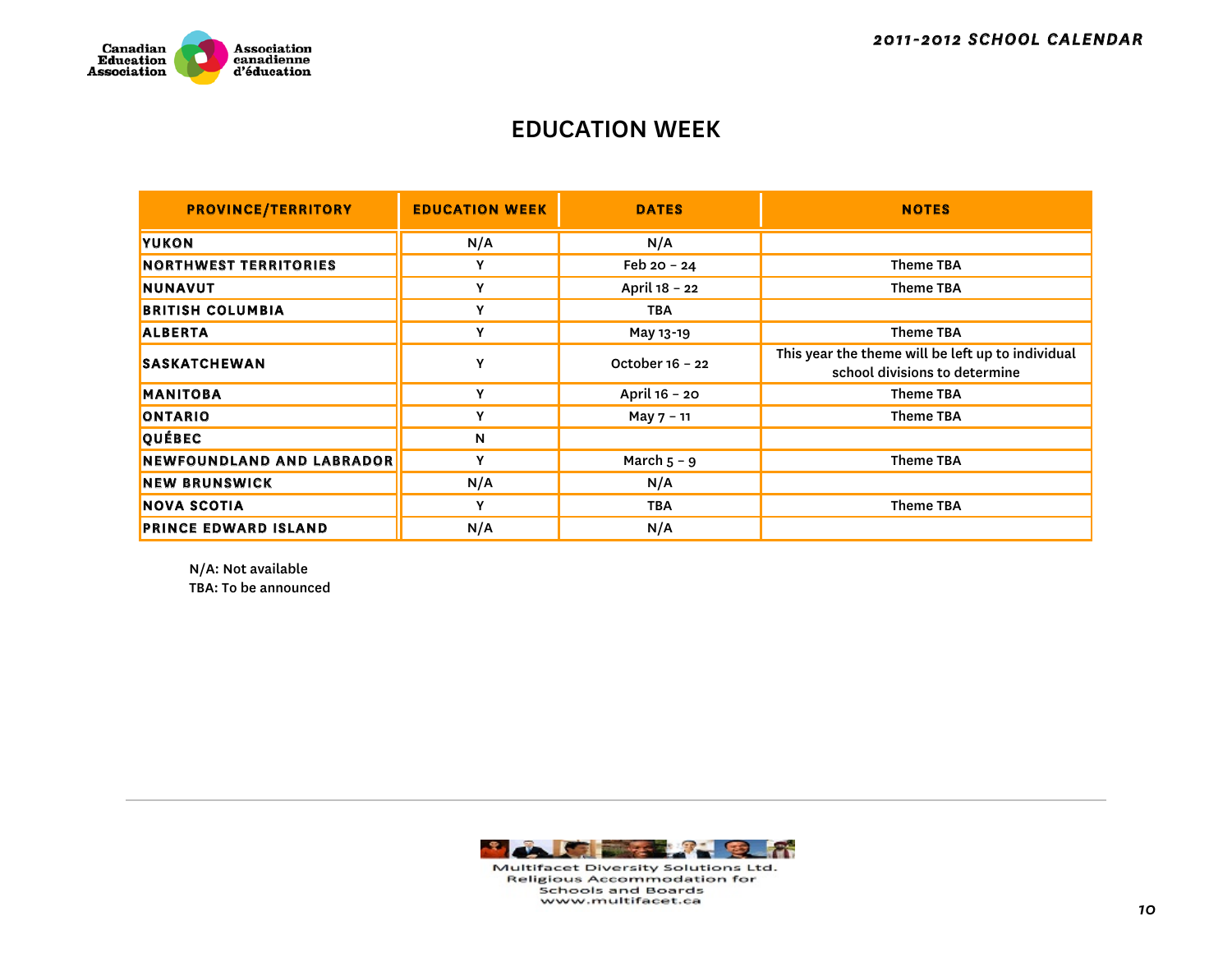

### EDUCATION WEEK

| <b>PROVINCE/TERRITORY</b>        | <b>EDUCATION WEEK</b> | <b>DATES</b>    | <b>NOTES</b>                                                                       |
|----------------------------------|-----------------------|-----------------|------------------------------------------------------------------------------------|
| <b>YUKON</b>                     | N/A                   | N/A             |                                                                                    |
| <b>NORTHWEST TERRITORIES</b>     | Y                     | Feb $20 - 24$   | <b>Theme TBA</b>                                                                   |
| <b>NUNAVUT</b>                   | Y                     | April 18 - 22   | <b>Theme TBA</b>                                                                   |
| <b>BRITISH COLUMBIA</b>          | Y                     | <b>TBA</b>      |                                                                                    |
| <b>ALBERTA</b>                   | Y                     | May 13-19       | <b>Theme TBA</b>                                                                   |
| <b>SASKATCHEWAN</b>              | Y                     | October 16 - 22 | This year the theme will be left up to individual<br>school divisions to determine |
| <b>MANITOBA</b>                  | ٧                     | April 16 - 20   | <b>Theme TBA</b>                                                                   |
| ONTARIO                          | Y                     | May 7 - 11      | <b>Theme TBA</b>                                                                   |
| <b>QUÉBEC</b>                    | $\mathbf N$           |                 |                                                                                    |
| <b>NEWFOUNDLAND AND LABRADOR</b> | Y                     | March $5 - 9$   | <b>Theme TBA</b>                                                                   |
| <b>NEW BRUNSWICK</b>             | N/A                   | N/A             |                                                                                    |
| <b>NOVA SCOTIA</b>               | Y                     | <b>TBA</b>      | Theme TBA                                                                          |
| <b>PRINCE EDWARD ISLAND</b>      | N/A                   | N/A             |                                                                                    |

N/A: Not available TBA: To be announced



Multifacet Diversity Solutions Ltd. **Religious Accommodation for Schools and Boards** www.multifacet.ca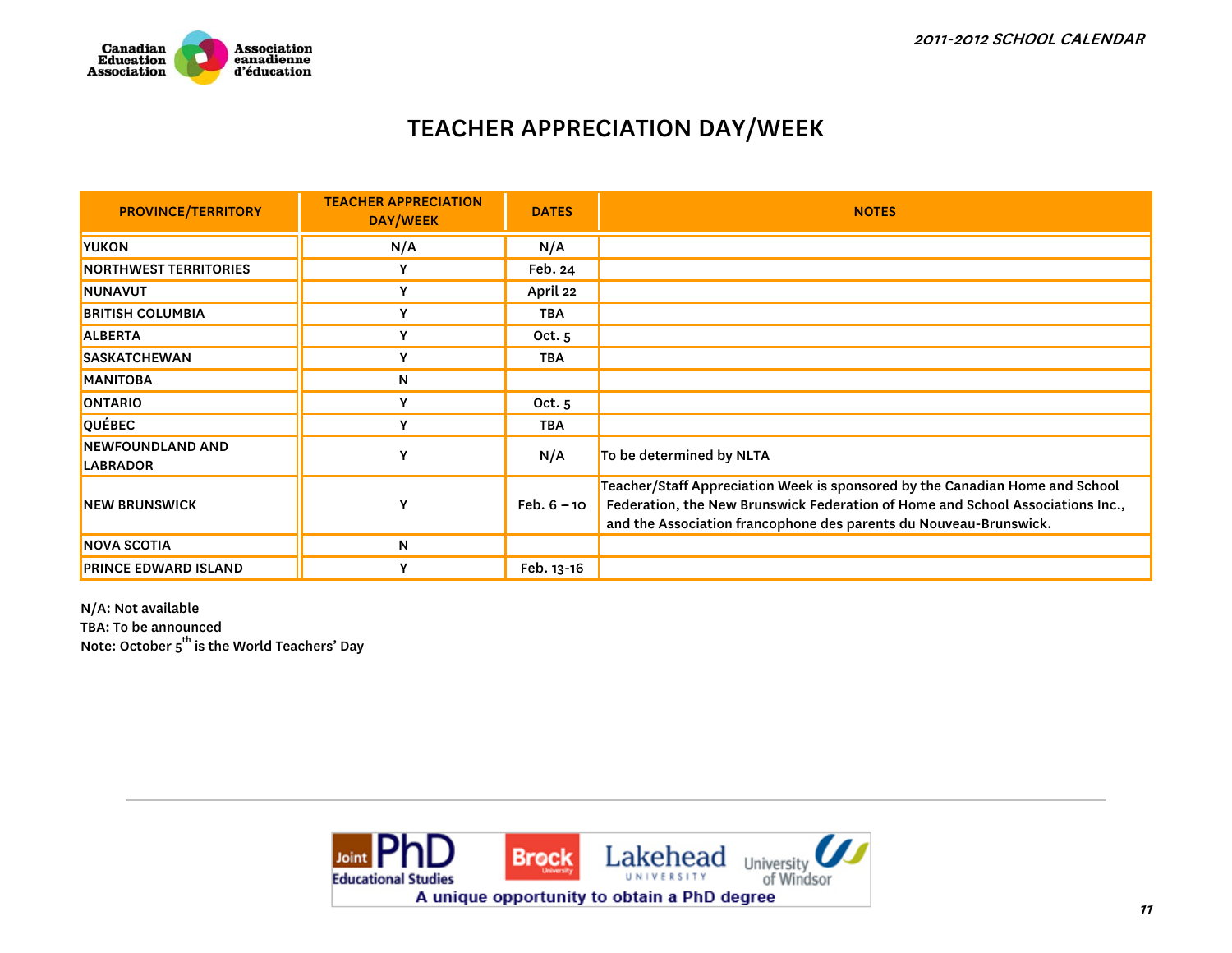

### TEACHER APPRECIATION DAY/WEEK

| <b>PROVINCE/TERRITORY</b>                  | <b>TEACHER APPRECIATION</b><br>DAY/WEEK | <b>DATES</b>  | <b>NOTES</b>                                                                                                                                                                                                                        |
|--------------------------------------------|-----------------------------------------|---------------|-------------------------------------------------------------------------------------------------------------------------------------------------------------------------------------------------------------------------------------|
| <b>YUKON</b>                               | N/A                                     | N/A           |                                                                                                                                                                                                                                     |
| <b>NORTHWEST TERRITORIES</b>               | Y                                       | Feb. 24       |                                                                                                                                                                                                                                     |
| NUNAVUT                                    | Y                                       | April 22      |                                                                                                                                                                                                                                     |
| <b>BRITISH COLUMBIA</b>                    | Y                                       | <b>TBA</b>    |                                                                                                                                                                                                                                     |
| <b>ALBERTA</b>                             | Y                                       | Oct. 5        |                                                                                                                                                                                                                                     |
| <b>SASKATCHEWAN</b>                        | Y                                       | <b>TBA</b>    |                                                                                                                                                                                                                                     |
| <b>MANITOBA</b>                            | N                                       |               |                                                                                                                                                                                                                                     |
| <b>ONTARIO</b>                             | Υ                                       | Oct. $5$      |                                                                                                                                                                                                                                     |
| QUÉBEC                                     | Y                                       | <b>TBA</b>    |                                                                                                                                                                                                                                     |
| <b>NEWFOUNDLAND AND</b><br><b>LABRADOR</b> | γ                                       | N/A           | To be determined by NLTA                                                                                                                                                                                                            |
| <b>NEW BRUNSWICK</b>                       | $\mathbf v$                             | $Feb. 6 - 10$ | Teacher/Staff Appreciation Week is sponsored by the Canadian Home and School<br>Federation, the New Brunswick Federation of Home and School Associations Inc.,<br>and the Association francophone des parents du Nouveau-Brunswick. |
| <b>NOVA SCOTIA</b>                         | N                                       |               |                                                                                                                                                                                                                                     |
| <b>PRINCE EDWARD ISLAND</b>                | Υ                                       | Feb. 13-16    |                                                                                                                                                                                                                                     |

N/A: Not available TBA: To be announced<br>Note: October 5<sup>th</sup> is the World Teachers' Day

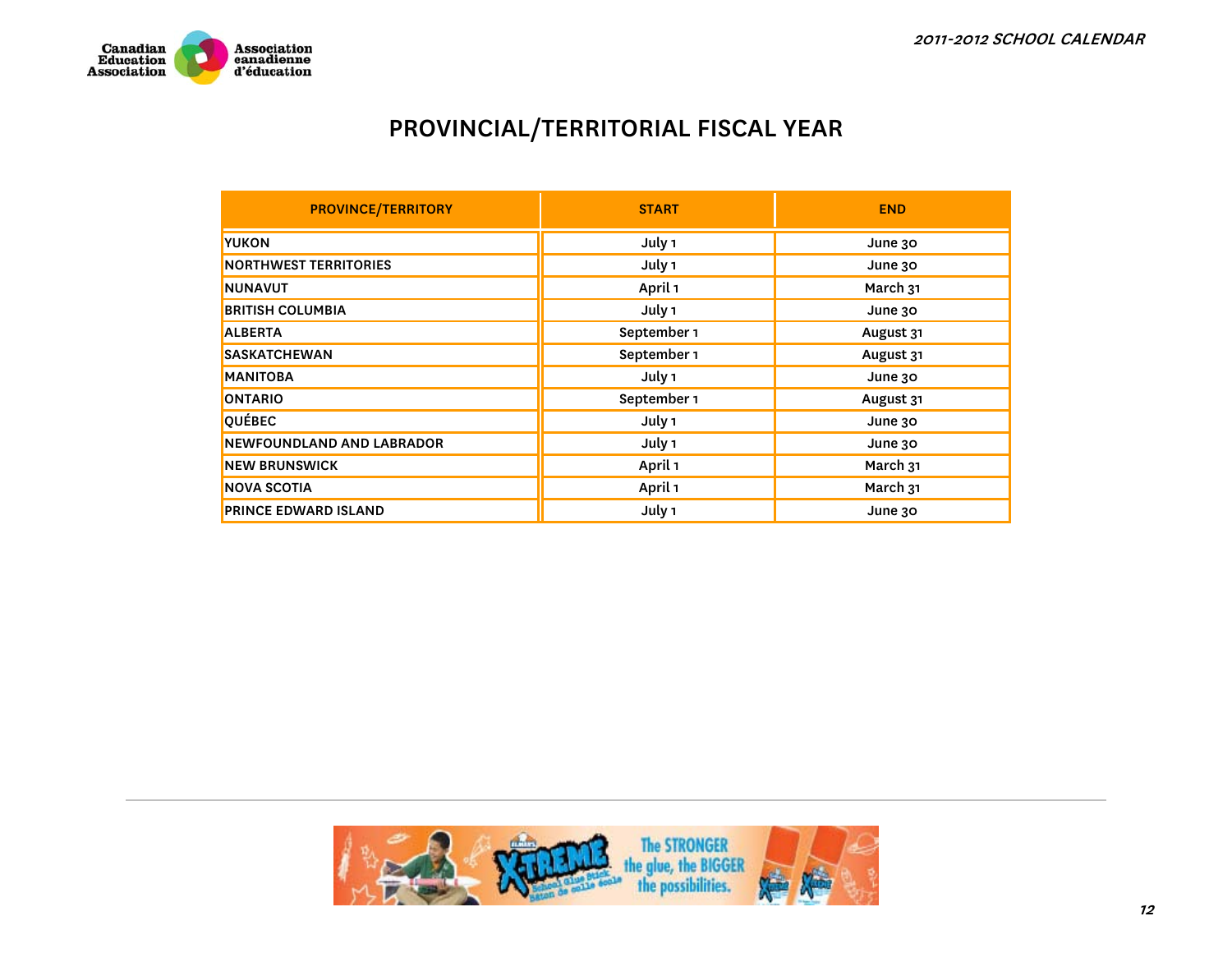

# PROVINCIAL/TERRITORIAL FISCAL YEAR

| <b>PROVINCE/TERRITORY</b>        | <b>START</b> | <b>END</b> |
|----------------------------------|--------------|------------|
| <b>YUKON</b>                     | July 1       | June 30    |
| <b>NORTHWEST TERRITORIES</b>     | July 1       | June 30    |
| <b>NUNAVUT</b>                   | April 1      | March 31   |
| <b>BRITISH COLUMBIA</b>          | July 1       | June 30    |
| <b>ALBERTA</b>                   | September 1  | August 31  |
| <b>SASKATCHEWAN</b>              | September 1  | August 31  |
| <b>MANITOBA</b>                  | July 1       | June 30    |
| <b>ONTARIO</b>                   | September 1  | August 31  |
| <b>QUÉBEC</b>                    | July 1       | June 30    |
| <b>NEWFOUNDLAND AND LABRADOR</b> | July 1       | June 30    |
| <b>NEW BRUNSWICK</b>             | April 1      | March 31   |
| <b>NOVA SCOTIA</b>               | April 1      | March 31   |
| <b>PRINCE EDWARD ISLAND</b>      | July 1       | June 30    |

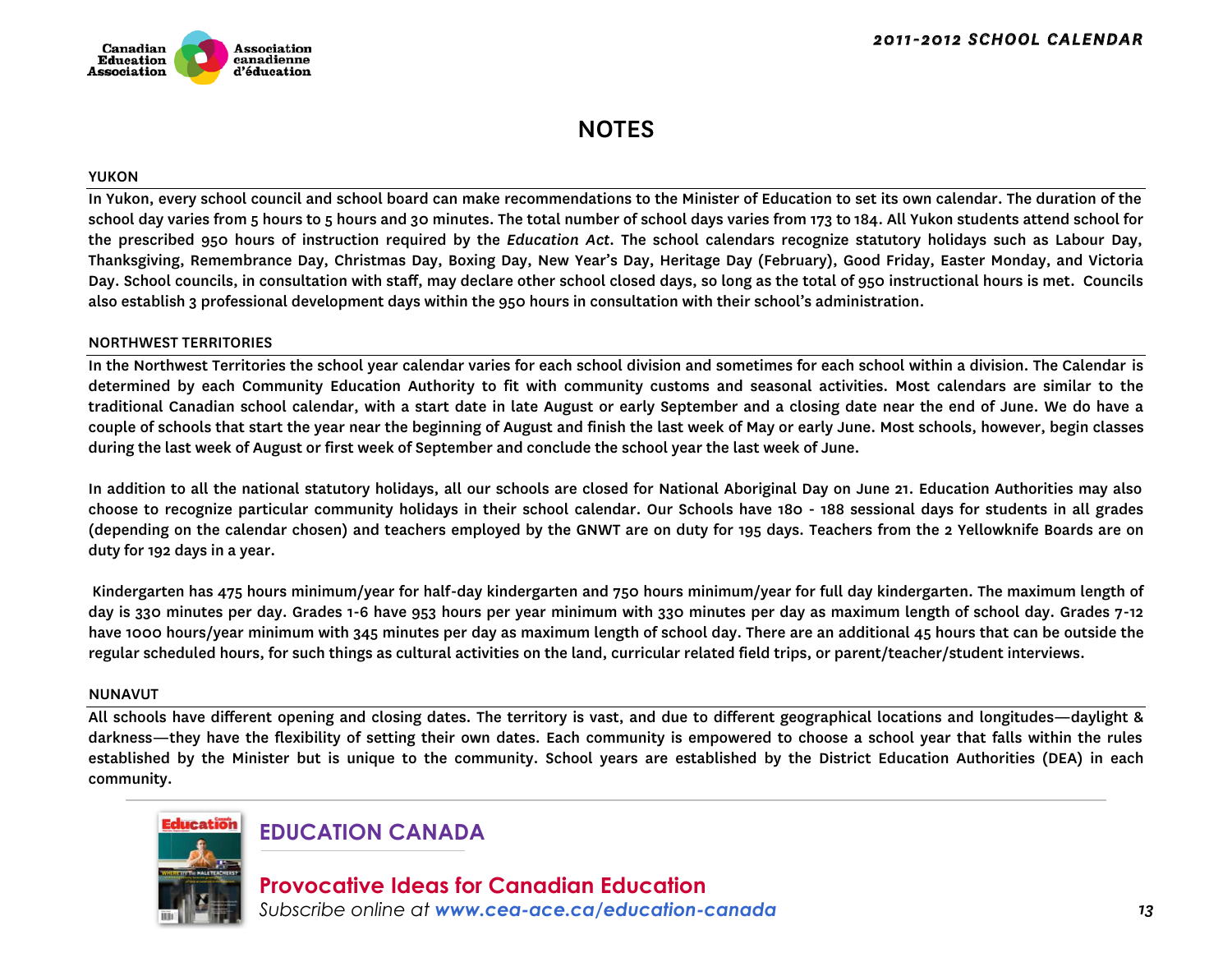

### NOTES

#### YUKON

In Yukon, every school council and school board can make recommendations to the Minister of Education to set its own calendar. The duration of the school day varies from 5 hours to 5 hours and 30 minutes. The total number of school days varies from 173 to 184. All Yukon students attend school for the prescribed 950 hours of instruction required by the *Education Act*. The school calendars recognize statutory holidays such as Labour Day, Thanksgiving, Remembrance Day, Christmas Day, Boxing Day, New Year's Day, Heritage Day (February), Good Friday, Easter Monday, and Victoria Day. School councils, in consultation with staff, may declare other school closed days, so long as the total of 950 instructional hours is met. Councils also establish 3 professional development days within the 950 hours in consultation with their school's administration.

#### NORTHWEST TERRITORIES

In the Northwest Territories the school year calendar varies for each school division and sometimes for each school within a division. The Calendar is determined by each Community Education Authority to fit with community customs and seasonal activities. Most calendars are similar to the traditional Canadian school calendar, with a start date in late August or early September and a closing date near the end of June. We do have a couple of schools that start the year near the beginning of August and finish the last week of May or early June. Most schools, however, begin classes during the last week of August or first week of September and conclude the school year the last week of June.

In addition to all the national statutory holidays, all our schools are closed for National Aboriginal Day on June 21. Education Authorities may also choose to recognize particular community holidays in their school calendar. Our Schools have 180 - 188 sessional days for students in all grades (depending on the calendar chosen) and teachers employed by the GNWT are on duty for 195 days. Teachers from the 2 Yellowknife Boards are on duty for 192 days in a year.

 Kindergarten has 475 hours minimum/year for half-day kindergarten and 750 hours minimum/year for full day kindergarten. The maximum length of day is 330 minutes per day. Grades 1-6 have 953 hours per year minimum with 330 minutes per day as maximum length of school day. Grades 7-12 have 1000 hours/year minimum with 345 minutes per day as maximum length of school day. There are an additional 45 hours that can be outside the regular scheduled hours, for such things as cultural activities on the land, curricular related field trips, or parent/teacher/student interviews.

#### NUNAVUT

All schools have different opening and closing dates. The territory is vast, and due to different geographical locations and longitudes—daylight & darkness—they have the flexibility of setting their own dates. Each community is empowered to choose a school year that falls within the rules established by the Minister but is unique to the community. School years are established by the District Education Authorities (DEA) in each community.



### **EDUCATION CANADA**

**Provocative Ideas for Canadian Education** *Subscribe online at www.cea-ace.ca/education-canada*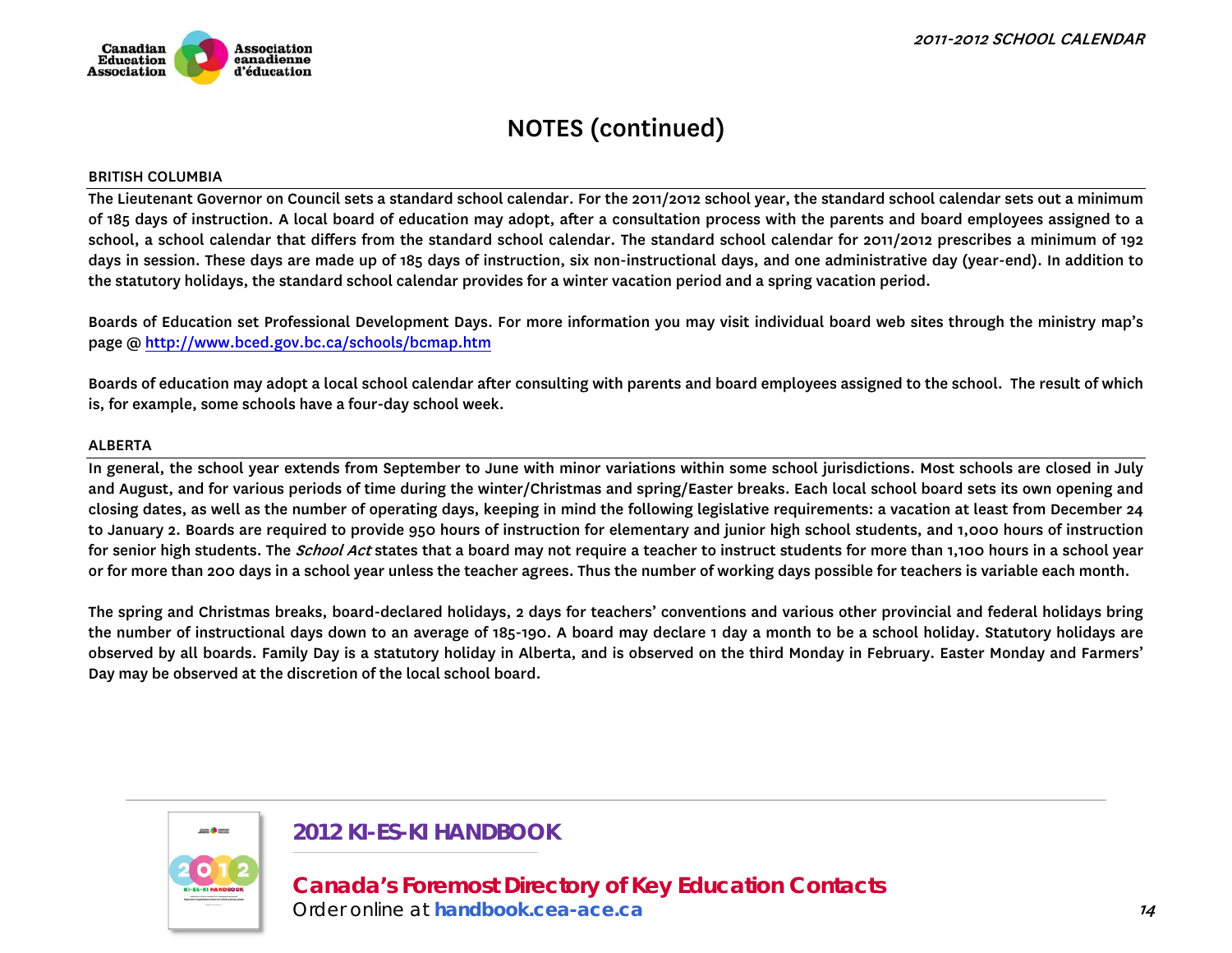#### BRITISH COLUMBIA

The Lieutenant Governor on Council sets a standard school calendar. For the 2011/2012 school year, the standard school calendar sets out a minimum of 185 days of instruction. A local board of education may adopt, after a consultation process with the parents and board employees assigned to a school, a school calendar that differs from the standard school calendar. The standard school calendar for 2011/2012 prescribes a minimum of 192 days in session. These days are made up of 185 days of instruction, six non-instructional days, and one administrative day (year-end). In addition to the statutory holidays, the standard school calendar provides for a winter vacation period and a spring vacation period.

Boards of Education set Professional Development Days. For more information you may visit individual board web sites through the ministry map's page @ http://www.bced.gov.bc.ca/schools/bcmap.htm

Boards of education may adopt a local school calendar after consulting with parents and board employees assigned to the school. The result of which is, for example, some schools have a four-day school week.

#### ALBERTA

In general, the school year extends from September to June with minor variations within some school jurisdictions. Most schools are closed in July and August, and for various periods of time during the winter/Christmas and spring/Easter breaks. Each local school board sets its own opening and closing dates, as well as the number of operating days, keeping in mind the following legislative requirements: a vacation at least from December 24 to January 2. Boards are required to provide 950 hours of instruction for elementary and junior high school students, and 1,000 hours of instruction for senior high students. The *School Act* states that a board may not require a teacher to instruct students for more than 1,100 hours in a school year or for more than 200 days in a school year unless the teacher agrees. Thus the number of working days possible for teachers is variable each month.

The spring and Christmas breaks, board-declared holidays, 2 days for teachers' conventions and various other provincial and federal holidays bring the number of instructional days down to an average of 185-190. A board may declare 1 day a month to be a school holiday. Statutory holidays are observed by all boards. Family Day is a statutory holiday in Alberta, and is observed on the third Monday in February. Easter Monday and Farmers' Day may be observed at the discretion of the local school board.



### **2012 KI-ES-KI HANDBOOK**

**[Canada's Foremost Directory of Key Education Contacts](http://handbook.cea-ace.ca)** 

*Order online at handbook.cea-ace.ca*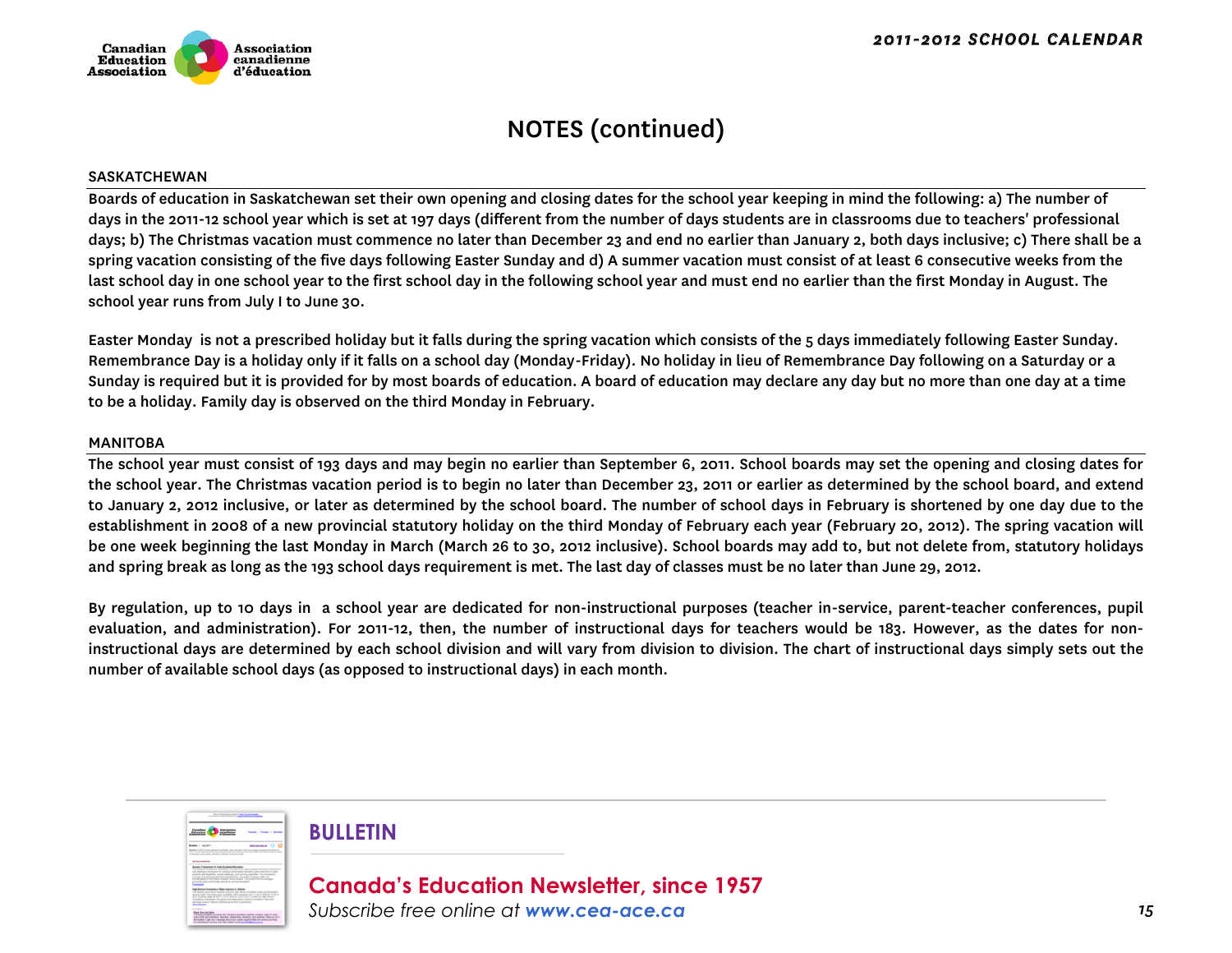

#### SASKATCHEWAN

Boards of education in Saskatchewan set their own opening and closing dates for the school year keeping in mind the following: a) The number of days in the 2011-12 school year which is set at 197 days (different from the number of days students are in classrooms due to teachers' professional days; b) The Christmas vacation must commence no later than December 23 and end no earlier than January 2, both days inclusive; c) There shall be a spring vacation consisting of the five days following Easter Sunday and d) A summer vacation must consist of at least 6 consecutive weeks from the last school day in one school year to the first school day in the following school year and must end no earlier than the first Monday in August. The school year runs from July I to June 30.

Easter Monday is not a prescribed holiday but it falls during the spring vacation which consists of the 5 days immediately following Easter Sunday. Remembrance Day is a holiday only if it falls on a school day (Monday-Friday). No holiday in lieu of Remembrance Day following on a Saturday or a Sunday is required but it is provided for by most boards of education. A board of education may declare any day but no more than one day at a time to be a holiday. Family day is observed on the third Monday in February.

#### MANITOBA

The school year must consist of 193 days and may begin no earlier than September 6, 2011. School boards may set the opening and closing dates for the school year. The Christmas vacation period is to begin no later than December 23, 2011 or earlier as determined by the school board, and extend to January 2, 2012 inclusive, or later as determined by the school board. The number of school days in February is shortened by one day due to the establishment in 2008 of a new provincial statutory holiday on the third Monday of February each year (February 20, 2012). The spring vacation will be one week beginning the last Monday in March (March 26 to 30, 2012 inclusive). School boards may add to, but not delete from, statutory holidays and spring break as long as the 193 school days requirement is met. The last day of classes must be no later than June 29, 2012.

By regulation, up to 10 days in a school year are dedicated for non-instructional purposes (teacher in-service, parent-teacher conferences, pupil evaluation, and administration). For 2011-12, then, the number of instructional days for teachers would be 183. However, as the dates for noninstructional days are determined by each school division and will vary from division to division. The chart of instructional days simply sets out the number of available school days (as opposed to instructional days) in each month.



### **BULLETIN**

**Canada's Education Newsletter, since 1957** *Subscribe free online at www.cea-ace.ca*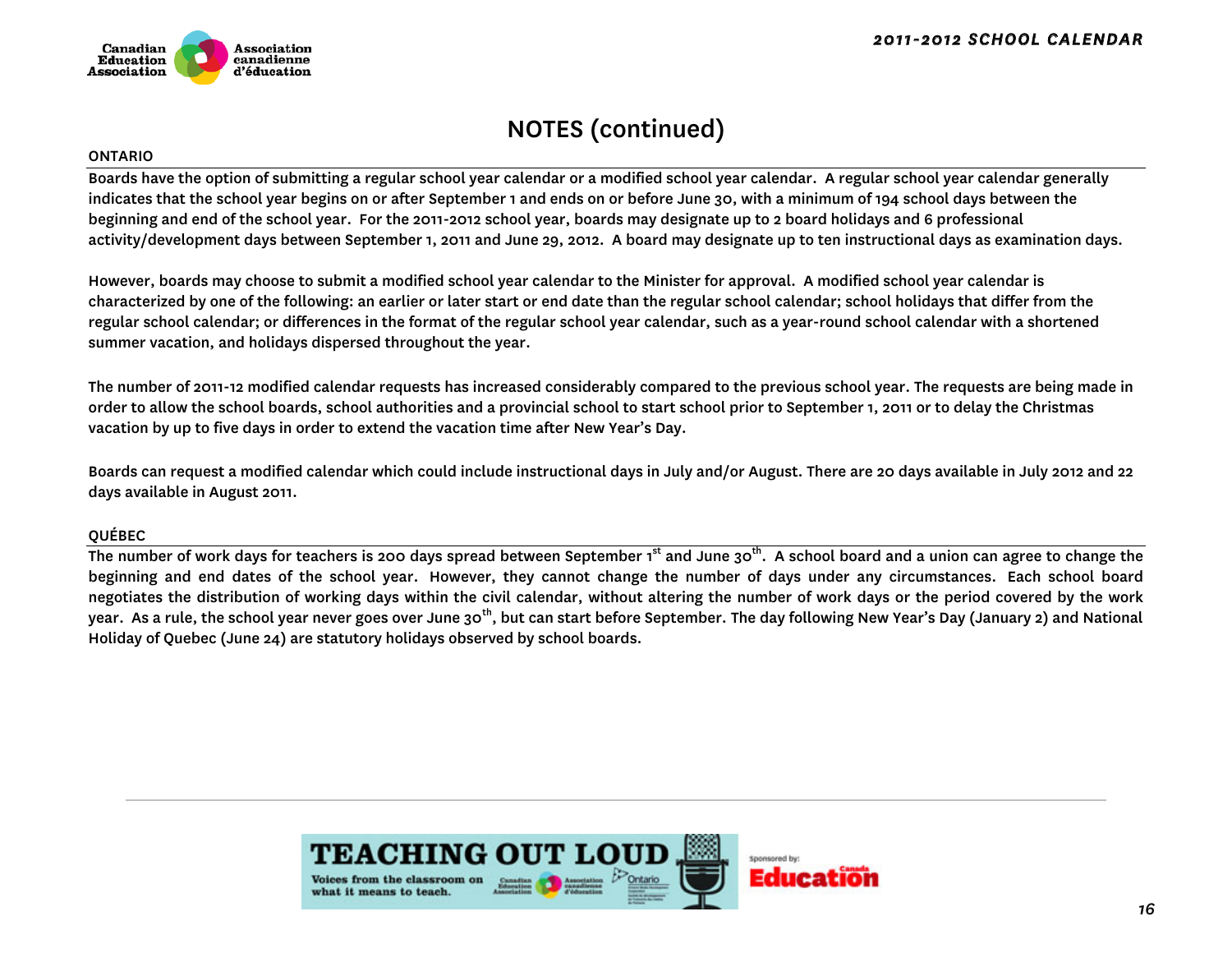

#### ONTARIO

Boards have the option of submitting a regular school year calendar or a modified school year calendar. A regular school year calendar generally indicates that the school year begins on or after September 1 and ends on or before June 30, with a minimum of 194 school days between the beginning and end of the school year. For the 2011-2012 school year, boards may designate up to 2 board holidays and 6 professional activity/development days between September 1, 2011 and June 29, 2012. A board may designate up to ten instructional days as examination days.

However, boards may choose to submit a modified school year calendar to the Minister for approval. A modified school year calendar is characterized by one of the following: an earlier or later start or end date than the regular school calendar; school holidays that differ from the regular school calendar; or differences in the format of the regular school year calendar, such as a year-round school calendar with a shortened summer vacation, and holidays dispersed throughout the year.

The number of 2011-12 modified calendar requests has increased considerably compared to the previous school year. The requests are being made in order to allow the school boards, school authorities and a provincial school to start school prior to September 1, 2011 or to delay the Christmas vacation by up to five days in order to extend the vacation time after New Year's Day.

Boards can request a modified calendar which could include instructional days in July and/or August. There are 20 days available in July 2012 and 22 days available in August 2011.

#### QUÉBEC

The number of work days for teachers is 200 days spread between September 1<sup>st</sup> and June 30<sup>th</sup>. A school board and a union can agree to change the beginning and end dates of the school year. However, they cannot change the number of days under any circumstances. Each school board negotiates the distribution of working days within the civil calendar, without altering the number of work days or the period covered by the work year. As a rule, the school year never goes over June 30<sup>th</sup>, but can start before September. The day following New Year's Day (January 2) and National Holiday of Quebec (June 24) are statutory holidays observed by school boards.

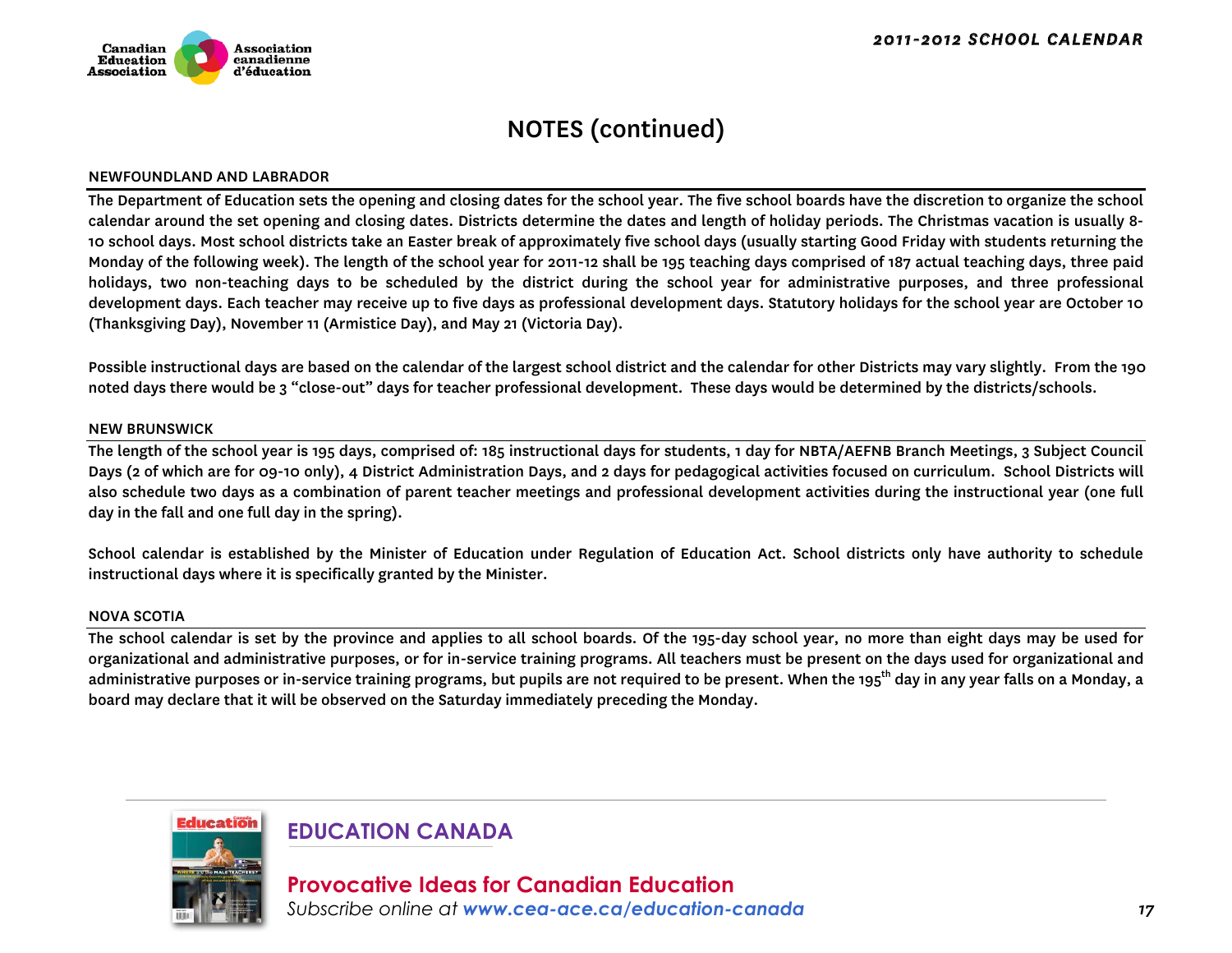

#### NEWFOUNDLAND AND LABRADOR

The Department of Education sets the opening and closing dates for the school year. The five school boards have the discretion to organize the school calendar around the set opening and closing dates. Districts determine the dates and length of holiday periods. The Christmas vacation is usually 8- 10 school days. Most school districts take an Easter break of approximately five school days (usually starting Good Friday with students returning the Monday of the following week). The length of the school year for 2011-12 shall be 195 teaching days comprised of 187 actual teaching days, three paid holidays, two non-teaching days to be scheduled by the district during the school year for administrative purposes, and three professional development days. Each teacher may receive up to five days as professional development days. Statutory holidays for the school year are October 10 (Thanksgiving Day), November 11 (Armistice Day), and May 21 (Victoria Day).

Possible instructional days are based on the calendar of the largest school district and the calendar for other Districts may vary slightly. From the 190 noted days there would be 3 "close-out" days for teacher professional development. These days would be determined by the districts/schools.

#### NEW BRUNSWICK

The length of the school year is 195 days, comprised of: 185 instructional days for students, 1 day for NBTA/AEFNB Branch Meetings, 3 Subject Council Days (2 of which are for 09-10 only), 4 District Administration Days, and 2 days for pedagogical activities focused on curriculum. School Districts will also schedule two days as a combination of parent teacher meetings and professional development activities during the instructional year (one full day in the fall and one full day in the spring).

School calendar is established by the Minister of Education under Regulation of Education Act. School districts only have authority to schedule instructional days where it is specifically granted by the Minister.

#### NOVA SCOTIA

The school calendar is set by the province and applies to all school boards. Of the 195-day school year, no more than eight days may be used for organizational and administrative purposes, or for in-service training programs. All teachers must be present on the days used for organizational and administrative purposes or in-service training programs, but pupils are not required to be present. When the 195<sup>th</sup> day in any year falls on a Monday, a board may declare that it will be observed on the Saturday immediately preceding the Monday.



### **EDUCATION CANADA**